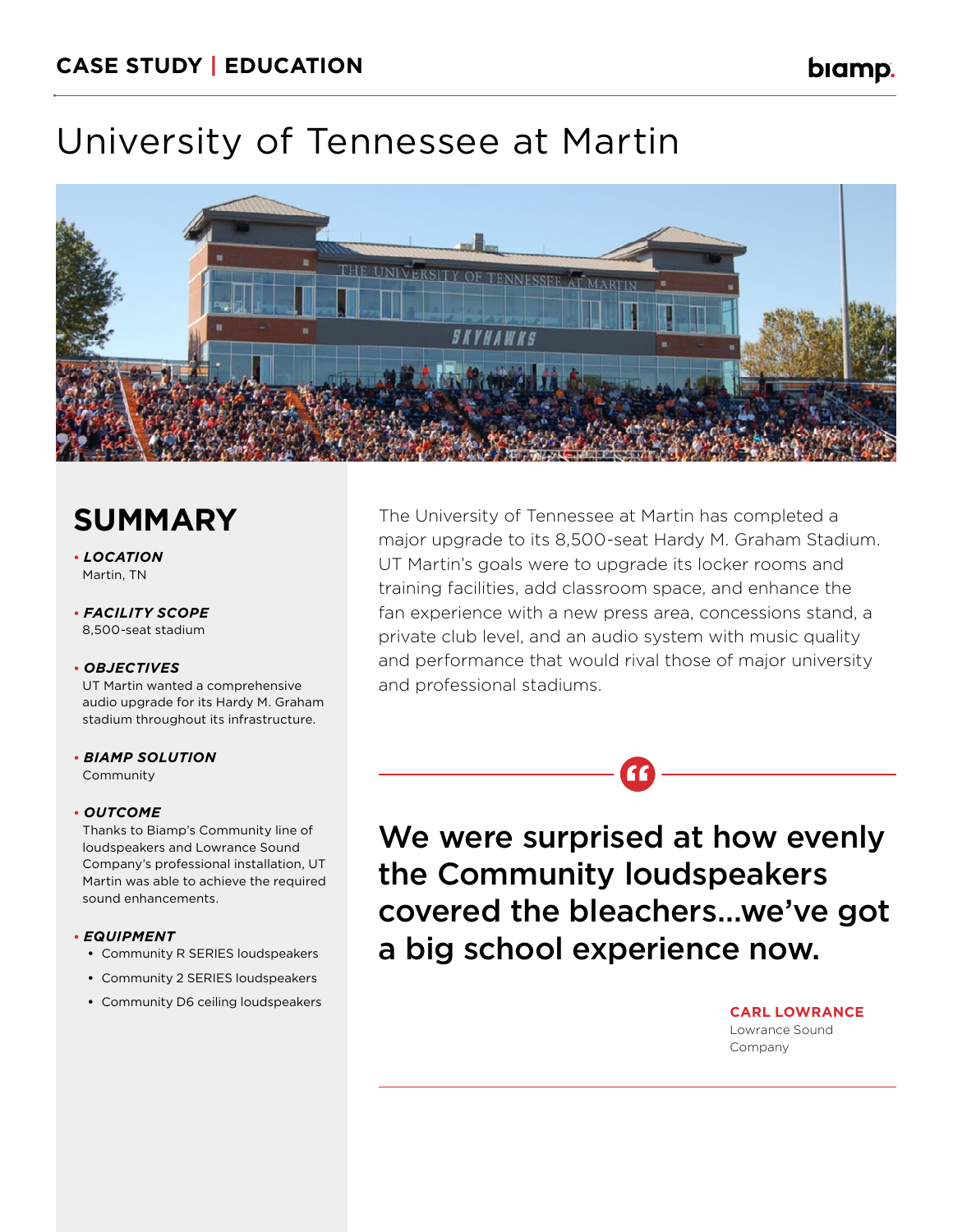biamp.

# University of Tennessee at Martin



### **SUMMARY**

**•** *LOCATION*  Martin, TN

**•** *FACILITY SCOPE*  8,500-seat stadium

#### **•** *OBJECTIVES*

UT Martin wanted a comprehensive audio upgrade for its Hardy M. Graham stadium throughout its infrastructure.

**•** *BIAMP SOLUTION*  Community

#### **•** *OUTCOME*

Thanks to Biamp's Community line of loudspeakers and Lowrance Sound Company's professional installation, UT Martin was able to achieve the required sound enhancements.

#### **•** *EQUIPMENT*

- **•** Community R SERIES loudspeakers
- **•** Community 2 SERIES loudspeakers
- **•** Community D6 ceiling loudspeakers

The University of Tennessee at Martin has completed a major upgrade to its 8,500-seat Hardy M. Graham Stadium. UT Martin's goals were to upgrade its locker rooms and training facilities, add classroom space, and enhance the fan experience with a new press area, concessions stand, a private club level, and an audio system with music quality and performance that would rival those of major university and professional stadiums.

We were surprised at how evenly the Community loudspeakers covered the bleachers…we've got a big school experience now.

**"**

**CARL LOWRANCE**  Lowrance Sound Company